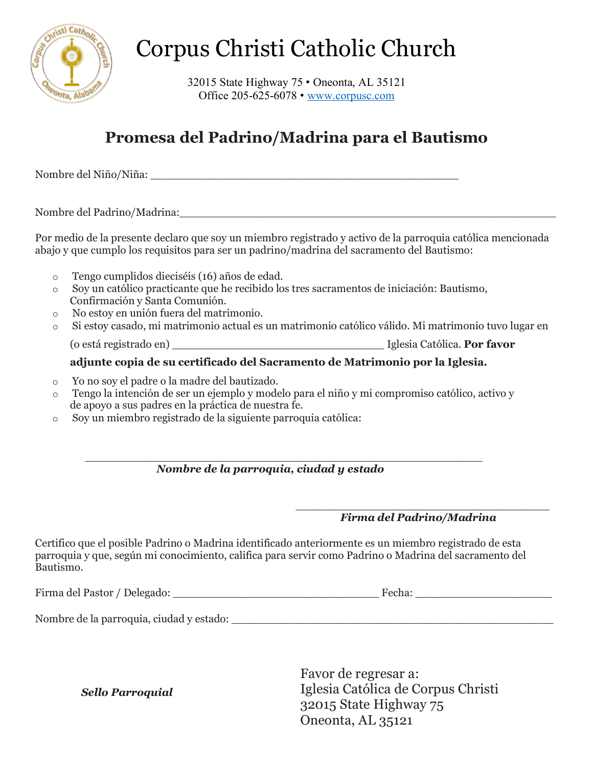

# Corpus Christi Catholic Church

32015 State Highway 75 • Oneonta, AL 35121 Office 205-625-6078 • www.corpusc.com

## **Promesa del Padrino/Madrina para el Bautismo**

Nombre del Niño/Niña:

Nombre del Padrino/Madrina:

Por medio de la presente declaro que soy un miembro registrado y activo de la parroquia católica mencionada abajo y que cumplo los requisitos para ser un padrino/madrina del sacramento del Bautismo:

- o Tengo cumplidos dieciséis (16) años de edad.
- o Soy un católico practicante que he recibido los tres sacramentos de iniciación: Bautismo, Confirmación y Santa Comunión.
- o No estoy en unión fuera del matrimonio.
- o Si estoy casado, mi matrimonio actual es un matrimonio católico válido. Mi matrimonio tuvo lugar en (o está registrado en) \_\_\_\_\_\_\_\_\_\_\_\_\_\_\_\_\_\_\_\_\_\_\_\_\_\_\_\_\_\_\_ Iglesia Católica. **Por favor**

### **adjunte copia de su certificado del Sacramento de Matrimonio por la Iglesia.**

- o Yo no soy el padre o la madre del bautizado.
- o Tengo la intención de ser un ejemplo y modelo para el niño y mi compromiso católico, activo y de apoyo a sus padres en la práctica de nuestra fe.
- o Soy un miembro registrado de la siguiente parroquia católica:

#### \_\_\_\_\_\_\_\_\_\_\_\_\_\_\_\_\_\_\_\_\_\_\_\_\_\_\_\_\_\_\_\_\_\_\_\_\_\_\_\_\_\_\_\_\_\_\_\_\_\_\_\_\_\_\_\_\_\_  *Nombre de la parroquia, ciudad y estado*

#### $\overline{\phantom{a}}$  , which is a set of the set of the set of the set of the set of the set of the set of the set of the set of the set of the set of the set of the set of the set of the set of the set of the set of the set of th  *Firma del Padrino/Madrina*

Certifico que el posible Padrino o Madrina identificado anteriormente es un miembro registrado de esta parroquia y que, según mi conocimiento, califica para servir como Padrino o Madrina del sacramento del Bautismo.

| Firma del Pastor / Delegado: | Fecha. |
|------------------------------|--------|
|------------------------------|--------|

Nombre de la parroquia, ciudad y estado: \_\_\_\_\_\_\_\_\_\_\_\_\_\_\_\_\_\_\_\_\_\_\_\_\_\_\_\_\_\_\_\_\_\_\_\_\_\_\_\_\_\_\_\_\_\_\_

 *Sello Parroquial* 

Favor de regresar a: Iglesia Católica de Corpus Christi 32015 State Highway 75 Oneonta, AL 35121